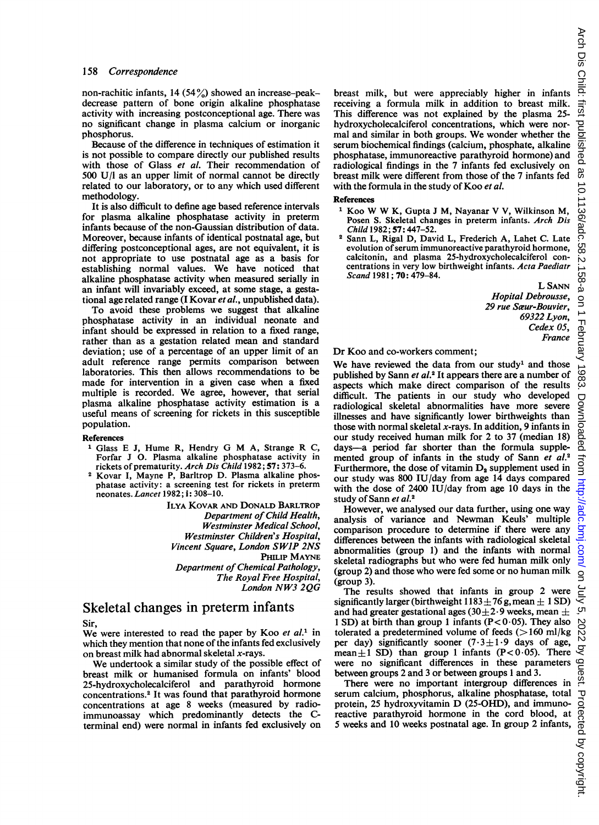non-rachitic infants, 14 (54 $\frac{9}{20}$ ) showed an increase-peakdecrease pattern of bone origin alkaline phosphatase activity with increasing postconceptional age. There was no significant change in plasma calcium or inorganic phosphorus.

Because of the difference in techniques of estimation it is not possible to compare directly our published results with those of Glass et al. Their recommendation of 500 U/l as an upper limit of normal cannot be directly related to our laboratory, or to any which used different methodology.

It is also difficult to define age based reference intervals for plasma alkaline phosphatase activity in preterm infants because of the non-Gaussian distribution of data. Moreover, because infants of identical postnatal age, but differing postconceptional ages, are not equivalent, it is not appropriate to use postnatal age as a basis for establishing normal values. We have noticed that alkaline phosphatase activity when measured serially in an infant will invariably exceed, at some stage, a gestational age related range (I Kovar et al., unpublished data).

To avoid these problems we suggest that alkaline phosphatase activity in an individual neonate and infant should be expressed in relation to a fixed range, rather than as a gestation related mean and standard deviation; use of a percentage of an upper limit of an adult reference range permits comparison between laboratories. This then allows recommendations to be made for intervention in a given case when a fixed multiple is recorded. We agree, however, that serial plasma alkaline phosphatase activity estimation is a useful means of screening for rickets in this susceptible population.

#### References

- Glass <sup>E</sup> J, Hume R, Hendry G M A, Strange R C, Forfar J O. Plasma alkaline phosphatase activity in rickets of prematurity. Arch Dis Child 1982; 57: 373–6.
- <sup>2</sup> Kovar I, Mayne P, Barltrop D. Plasma alkaline phosphatase activity: a screening test for rickets in preterm neonates. Lancet 1982; i: 308-10.

ILYA KOVAR AND DONALD BARLTRoP Department of Child Health, Westminster Medical School, Westminster Children's Hospital, Vincent Square, London SW1P 2NS PHILIP MAYNE Department of Chemical Pathology, The Royal Free Hospital, London NW3 2QG

# Skeletal changes in preterm infants

Sir,

We were interested to read the paper by Koo et  $al<sup>1</sup>$  in which they mention that none of the infants fed exclusively on breast milk had abnormal skeletal x-rays.

We undertook <sup>a</sup> similar study of the possible effect of breast milk or humanised formula on infants' blood 25-hydroxycholecalciferol and parathyroid hormone concentrations.2 It was found that parathyroid hormone concentrations at age 8 weeks (measured by radioimmunoassay which predominantly detects the Cterminal end) were normal in infants fed exclusively on breast milk, but were appreciably higher in infants receiving a formula milk in addition to breast milk. This difference was not explained by the plasma 25 hydroxycholecalciferol concentrations, which were normal and similar in both groups. We wonder whether the serum biochemical findings (calcium, phosphate, alkaline phosphatase, immunoreactive parathyroid hormone) and radiological findings in the 7 infants fed exclusively on breast milk were different from those of the 7 infants fed with the formula in the study of Koo et al.

#### References

- <sup>1</sup> Koo W W K, Gupta J M, Nayanar V V, Wilkinson M, Posen S. Skeletal changes in preterm infants. Arch Dis Child 1982; 57: 447-52.
- <sup>2</sup> Sann L, Rigal D, David L, Frederich A, Lahet C. Late evolution of serum immunoreactive parathyroid hormone, calcitonin, and plasma 25-hydroxycholecalciferol concentrations in very low birthweight infants. Acta Paediatr Scand 1981; 70: 479-84.

L SANN Hopital Debrousse, 29 rue Saeur-Bouvier, 69322 Lyon, Cedex 05, France

#### Dr Koo and co-workers comment;

We have reviewed the data from our study<sup>1</sup> and those published by Sann et al.<sup>2</sup> It appears there are a number of aspects which make direct comparison of the results difficult. The patients in our study who developed radiological skeletal abnormalities have more severe illnesses and have significantly lower birthweights than those with normal skeletal  $x$ -rays. In addition, 9 infants in our study received human milk for 2 to 37 (median 18) days-a period far shorter than the formula supplemented group of infants in the study of Sann et al.<sup>2</sup> Furthermore, the dose of vitamin  $D_2$  supplement used in our study was 800 IU/day from age 14 days compared with the dose of 2400 IU/day from age 10 days in the study of Sann et al.<sup>2</sup>

However, we analysed our data further, using one way analysis of variance and Newman Keuls' multiple comparison procedure to determine if there were any differences between the infants with radiological skeletal abnormalities (group 1) and the infants with normal skeletal radiographs but who were fed human milk only (group 2) and those who were fed some or no human milk (group 3).

The results showed that infants in group 2 were significantly larger (birthweight  $1183 \pm 76$  g, mean  $\pm 1$  SD) and had greater gestational ages (30 $\pm$ 2.9 weeks, mean  $\pm$ 1 SD) at birth than group 1 infants ( $P < 0.05$ ). They also tolerated a predetermined volume of feeds  $(>160 \text{ ml/kg})$ per day) significantly sooner  $(7.3 \pm 1.9)$  days of age, mean $\pm 1$  SD) than group 1 infants (P<0.05). There were no significant differences in these parameters between groups 2 and 3 or between groups <sup>1</sup> and 3.

There were no important intergroup differences in bei day's signing anyone ( $^{15}$ ,  $^{15}$ ,  $^{16}$  day's day's day's degree no significant differences in these parameters between groups 2 and 3 or between groups 1 and 3. There were no important intergroup differences in protein, <sup>25</sup> hydroxyvitamin D (25-OHD), and immunoreactive parathyroid hormone in the cord blood, at 5 weeks and 10 weeks postnatal age. In group 2 infants,